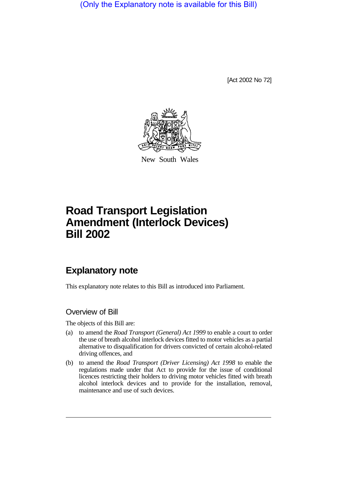(Only the Explanatory note is available for this Bill)

[Act 2002 No 72]



New South Wales

# **Road Transport Legislation Amendment (Interlock Devices) Bill 2002**

## **Explanatory note**

This explanatory note relates to this Bill as introduced into Parliament.

#### Overview of Bill

The objects of this Bill are:

- (a) to amend the *Road Transport (General) Act 1999* to enable a court to order the use of breath alcohol interlock devices fitted to motor vehicles as a partial alternative to disqualification for drivers convicted of certain alcohol-related driving offences, and
- (b) to amend the *Road Transport (Driver Licensing) Act 1998* to enable the regulations made under that Act to provide for the issue of conditional licences restricting their holders to driving motor vehicles fitted with breath alcohol interlock devices and to provide for the installation, removal, maintenance and use of such devices.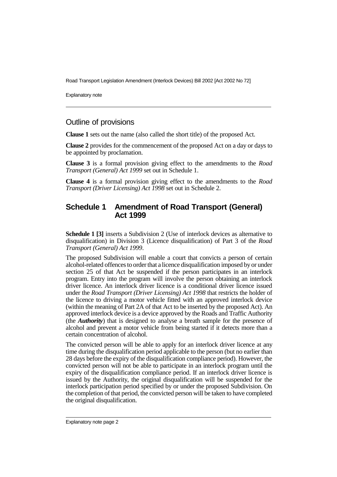Road Transport Legislation Amendment (Interlock Devices) Bill 2002 [Act 2002 No 72]

Explanatory note

#### Outline of provisions

**Clause 1** sets out the name (also called the short title) of the proposed Act.

**Clause 2** provides for the commencement of the proposed Act on a day or days to be appointed by proclamation.

**Clause 3** is a formal provision giving effect to the amendments to the *Road Transport (General) Act 1999* set out in Schedule 1.

**Clause 4** is a formal provision giving effect to the amendments to the *Road Transport (Driver Licensing) Act 1998* set out in Schedule 2.

#### **Schedule 1 Amendment of Road Transport (General) Act 1999**

**Schedule 1 [3]** inserts a Subdivision 2 (Use of interlock devices as alternative to disqualification) in Division 3 (Licence disqualification) of Part 3 of the *Road Transport (General) Act 1999*.

The proposed Subdivision will enable a court that convicts a person of certain alcohol-related offences to order that a licence disqualification imposed by or under section 25 of that Act be suspended if the person participates in an interlock program. Entry into the program will involve the person obtaining an interlock driver licence. An interlock driver licence is a conditional driver licence issued under the *Road Transport (Driver Licensing) Act 1998* that restricts the holder of the licence to driving a motor vehicle fitted with an approved interlock device (within the meaning of Part 2A of that Act to be inserted by the proposed Act). An approved interlock device is a device approved by the Roads and Traffic Authority (the *Authority*) that is designed to analyse a breath sample for the presence of alcohol and prevent a motor vehicle from being started if it detects more than a certain concentration of alcohol.

The convicted person will be able to apply for an interlock driver licence at any time during the disqualification period applicable to the person (but no earlier than 28 days before the expiry of the disqualification compliance period). However, the convicted person will not be able to participate in an interlock program until the expiry of the disqualification compliance period. If an interlock driver licence is issued by the Authority, the original disqualification will be suspended for the interlock participation period specified by or under the proposed Subdivision. On the completion of that period, the convicted person will be taken to have completed the original disqualification.